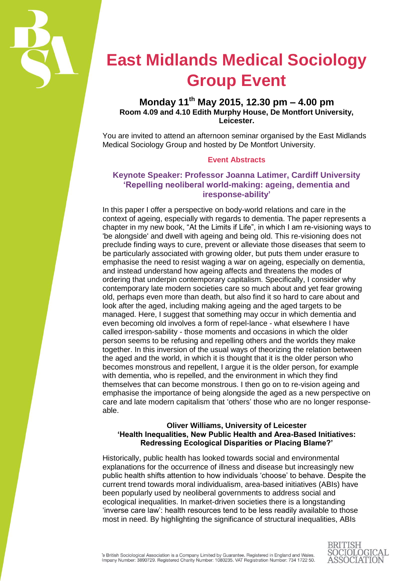

# **East Midlands Medical Sociology Group Event**

## **Monday 11th May 2015, 12.30 pm – 4.00 pm Room 4.09 and 4.10 Edith Murphy House, De Montfort University, Leicester.**

You are invited to attend an afternoon seminar organised by the East Midlands Medical Sociology Group and hosted by De Montfort University.

#### **Event Abstracts**

### **Keynote Speaker: Professor Joanna Latimer, Cardiff University 'Repelling neoliberal world-making: ageing, dementia and iresponse-ability'**

In this paper I offer a perspective on body-world relations and care in the context of ageing, especially with regards to dementia. The paper represents a chapter in my new book, "At the Limits if Life", in which I am re-visioning ways to 'be alongside' and dwell with ageing and being old. This re-visioning does not preclude finding ways to cure, prevent or alleviate those diseases that seem to be particularly associated with growing older, but puts them under erasure to emphasise the need to resist waging a war on ageing, especially on dementia, and instead understand how ageing affects and threatens the modes of ordering that underpin contemporary capitalism. Specifically, I consider why contemporary late modern societies care so much about and yet fear growing old, perhaps even more than death, but also find it so hard to care about and look after the aged, including making ageing and the aged targets to be managed. Here, I suggest that something may occur in which dementia and even becoming old involves a form of repel-lance - what elsewhere I have called irrespon-sability - those moments and occasions in which the older person seems to be refusing and repelling others and the worlds they make together. In this inversion of the usual ways of theorizing the relation between the aged and the world, in which it is thought that it is the older person who becomes monstrous and repellent, I argue it is the older person, for example with dementia, who is repelled, and the environment in which they find themselves that can become monstrous. I then go on to re-vision ageing and emphasise the importance of being alongside the aged as a new perspective on care and late modern capitalism that 'others' those who are no longer responseable.

#### **Oliver Williams, University of Leicester 'Health Inequalities, New Public Health and Area-Based Initiatives: Redressing Ecological Disparities or Placing Blame?'**

Historically, public health has looked towards social and environmental explanations for the occurrence of illness and disease but increasingly new public health shifts attention to how individuals 'choose' to behave. Despite the current trend towards moral individualism, area-based initiatives (ABIs) have been popularly used by neoliberal governments to address social and ecological inequalities. In market-driven societies there is a longstanding 'inverse care law': health resources tend to be less readily available to those most in need. By highlighting the significance of structural inequalities, ABIs